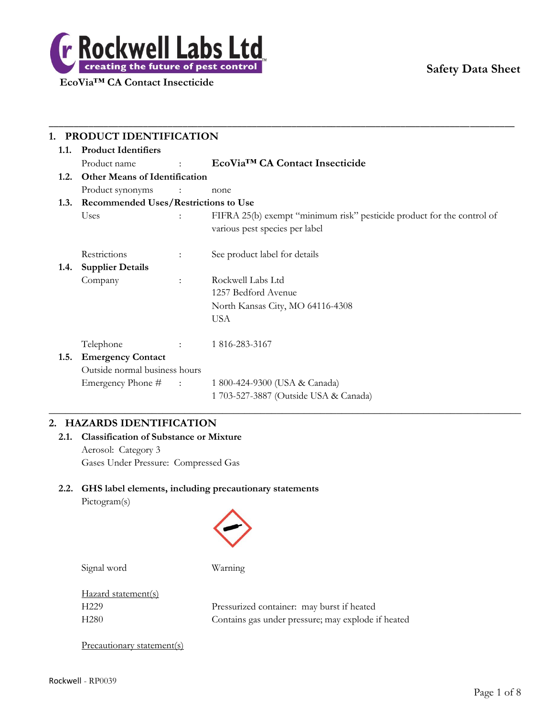

# **Safety Data Sheet**

| 1.1. | <b>Product Identifiers</b>                  |                                    |                                                                                                          |  |  |
|------|---------------------------------------------|------------------------------------|----------------------------------------------------------------------------------------------------------|--|--|
|      | Product name                                | $\Delta \sim 10^{11}$ km s $^{-1}$ | EcoVia <sup>™</sup> CA Contact Insecticide                                                               |  |  |
| 1.2. | <b>Other Means of Identification</b>        |                                    |                                                                                                          |  |  |
|      | Product synonyms                            | $\sim$ $\sim$ $\sim$ $\sim$        | none                                                                                                     |  |  |
| 1.3. | <b>Recommended Uses/Restrictions to Use</b> |                                    |                                                                                                          |  |  |
|      | Uses                                        |                                    | FIFRA 25(b) exempt "minimum risk" pesticide product for the control of<br>various pest species per label |  |  |
|      | Restrictions                                | $\ddot{\phantom{a}}$               | See product label for details                                                                            |  |  |
| 1.4. | <b>Supplier Details</b>                     |                                    |                                                                                                          |  |  |
|      | Company                                     | $\ddot{\phantom{a}}$               | Rockwell Labs Ltd                                                                                        |  |  |
|      |                                             |                                    | 1257 Bedford Avenue                                                                                      |  |  |
|      |                                             |                                    | North Kansas City, MO 64116-4308                                                                         |  |  |
|      |                                             |                                    | <b>USA</b>                                                                                               |  |  |
|      | Telephone                                   |                                    | 1 816-283-3167                                                                                           |  |  |
| 1.5. | <b>Emergency Contact</b>                    |                                    |                                                                                                          |  |  |
|      | Outside normal business hours               |                                    |                                                                                                          |  |  |
|      | Emergency Phone #                           | $\sim 1000$ and $\sim 1000$        | 1 800-424-9300 (USA & Canada)                                                                            |  |  |
|      |                                             |                                    | 1 703-527-3887 (Outside USA & Canada)                                                                    |  |  |

# **2. HAZARDS IDENTIFICATION**

# **2.1. Classification of Substance or Mixture** Aerosol: Category 3 Gases Under Pressure: Compressed Gas

# **2.2. GHS label elements, including precautionary statements**

Pictogram(s)



Signal word Warning

Hazard statement(s)

H229 Pressurized container: may burst if heated H280 Contains gas under pressure; may explode if heated

Precautionary statement(s)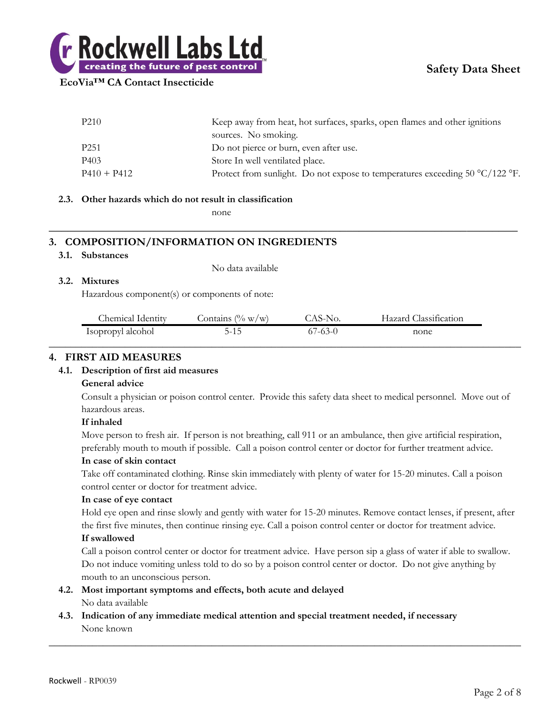

| P <sub>210</sub> | Keep away from heat, hot surfaces, sparks, open flames and other ignitions   |
|------------------|------------------------------------------------------------------------------|
|                  | sources. No smoking.                                                         |
| P <sub>251</sub> | Do not pierce or burn, even after use.                                       |
| P403             | Store In well ventilated place.                                              |
| $P410 + P412$    | Protect from sunlight. Do not expose to temperatures exceeding 50 °C/122 °F. |

**\_\_\_\_\_\_\_\_\_\_\_\_\_\_\_\_\_\_\_\_\_\_\_\_\_\_\_\_\_\_\_\_\_\_\_\_\_\_\_\_\_\_\_\_\_\_\_\_\_\_\_\_\_\_\_\_\_\_\_\_\_\_\_\_\_\_\_\_\_\_\_\_\_\_**

#### **2.3. Other hazards which do not result in classification**

none

# **3. COMPOSITION/INFORMATION ON INGREDIENTS**

#### **3.1. Substances**

No data available

#### **3.2. Mixtures**

Hazardous component(s) or components of note:

| Chemical Identity | Contains $(\% w/w)$ | `AS-No.       | Hazard Classification |
|-------------------|---------------------|---------------|-----------------------|
| Isopropyl alcohol | 5-15                | $67 - 63 - 0$ | none                  |
|                   |                     |               |                       |

## **4. FIRST AID MEASURES**

#### **4.1. Description of first aid measures**

#### **General advice**

Consult a physician or poison control center. Provide this safety data sheet to medical personnel. Move out of hazardous areas.

#### **If inhaled**

Move person to fresh air. If person is not breathing, call 911 or an ambulance, then give artificial respiration, preferably mouth to mouth if possible. Call a poison control center or doctor for further treatment advice.

#### **In case of skin contact**

Take off contaminated clothing. Rinse skin immediately with plenty of water for 15-20 minutes. Call a poison control center or doctor for treatment advice.

#### **In case of eye contact**

Hold eye open and rinse slowly and gently with water for 15-20 minutes. Remove contact lenses, if present, after the first five minutes, then continue rinsing eye. Call a poison control center or doctor for treatment advice. **If swallowed**

Call a poison control center or doctor for treatment advice. Have person sip a glass of water if able to swallow. Do not induce vomiting unless told to do so by a poison control center or doctor. Do not give anything by mouth to an unconscious person.

 $\_$  , and the set of the set of the set of the set of the set of the set of the set of the set of the set of the set of the set of the set of the set of the set of the set of the set of the set of the set of the set of th

#### **4.2. Most important symptoms and effects, both acute and delayed** No data available

**4.3. Indication of any immediate medical attention and special treatment needed, if necessary** None known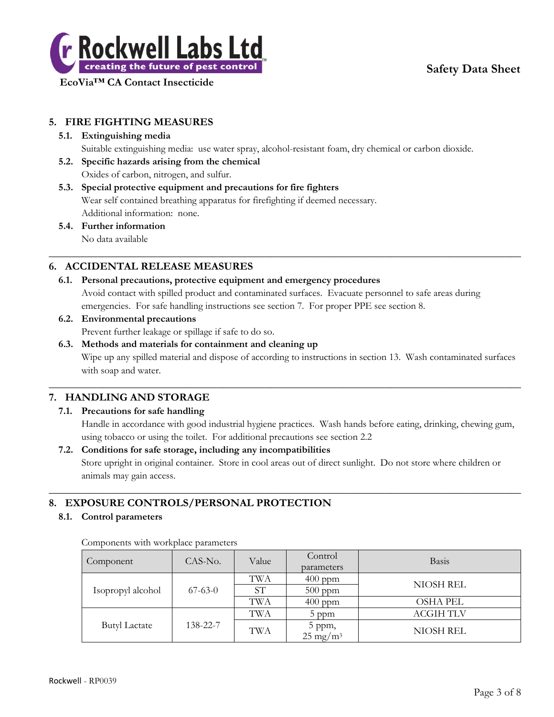

# **Safety Data Sheet**

# **5. FIRE FIGHTING MEASURES**

## **5.1. Extinguishing media**

Suitable extinguishing media: use water spray, alcohol-resistant foam, dry chemical or carbon dioxide.

**5.2. Specific hazards arising from the chemical**

Oxides of carbon, nitrogen, and sulfur.

**5.3. Special protective equipment and precautions for fire fighters** Wear self contained breathing apparatus for firefighting if deemed necessary. Additional information: none.

#### **5.4. Further information** No data available

 $\_$  , and the set of the set of the set of the set of the set of the set of the set of the set of the set of the set of the set of the set of the set of the set of the set of the set of the set of the set of the set of th

# **6. ACCIDENTAL RELEASE MEASURES**

- **6.1. Personal precautions, protective equipment and emergency procedures** Avoid contact with spilled product and contaminated surfaces. Evacuate personnel to safe areas during emergencies. For safe handling instructions see section 7. For proper PPE see section 8.
- **6.2. Environmental precautions** Prevent further leakage or spillage if safe to do so.
- **6.3. Methods and materials for containment and cleaning up**

Wipe up any spilled material and dispose of according to instructions in section 13. Wash contaminated surfaces with soap and water.

 $\_$  , and the set of the set of the set of the set of the set of the set of the set of the set of the set of the set of the set of the set of the set of the set of the set of the set of the set of the set of the set of th

# **7. HANDLING AND STORAGE**

#### **7.1. Precautions for safe handling**

Handle in accordance with good industrial hygiene practices. Wash hands before eating, drinking, chewing gum, using tobacco or using the toilet. For additional precautions see section 2.2

#### **7.2. Conditions for safe storage, including any incompatibilities**

Store upright in original container. Store in cool areas out of direct sunlight. Do not store where children or animals may gain access.

 $\_$  , and the set of the set of the set of the set of the set of the set of the set of the set of the set of the set of the set of the set of the set of the set of the set of the set of the set of the set of the set of th

# **8. EXPOSURE CONTROLS/PERSONAL PROTECTION**

#### **8.1. Control parameters**

| Component            | CAS-No.   | Value     | Control<br>parameters            | <b>Basis</b>     |
|----------------------|-----------|-----------|----------------------------------|------------------|
|                      | $67-63-0$ | TWA       | $400$ ppm                        | NIOSH REL        |
| Isopropyl alcohol    |           | <b>ST</b> | $500$ ppm                        |                  |
|                      |           | TWA       | $400$ ppm                        | <b>OSHA PEL</b>  |
|                      | 138-22-7  | TWA       | 5 ppm                            | <b>ACGIH TLV</b> |
| <b>Butyl Lactate</b> |           | TWA       | $5$ ppm,<br>25 mg/m <sup>3</sup> | NIOSH REL        |

Components with workplace parameters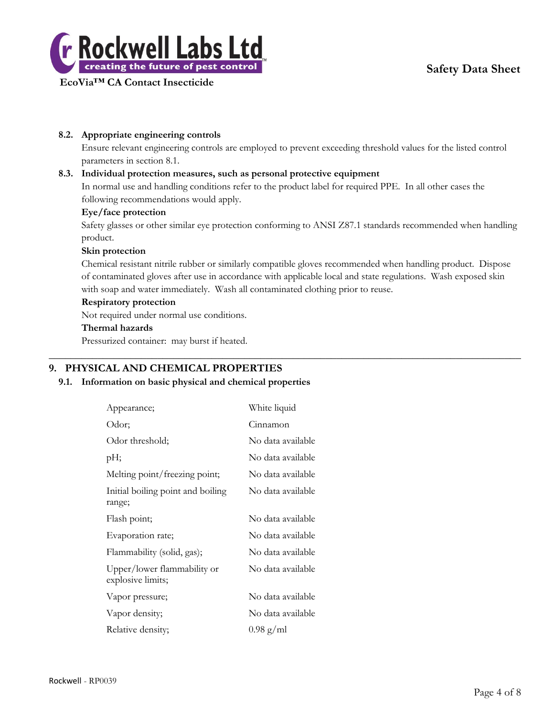



# **8.2. Appropriate engineering controls**

Ensure relevant engineering controls are employed to prevent exceeding threshold values for the listed control parameters in section 8.1.

## **8.3. Individual protection measures, such as personal protective equipment**

In normal use and handling conditions refer to the product label for required PPE. In all other cases the following recommendations would apply.

## **Eye/face protection**

Safety glasses or other similar eye protection conforming to ANSI Z87.1 standards recommended when handling product.

#### **Skin protection**

Chemical resistant nitrile rubber or similarly compatible gloves recommended when handling product. Dispose of contaminated gloves after use in accordance with applicable local and state regulations. Wash exposed skin with soap and water immediately. Wash all contaminated clothing prior to reuse.

 $\_$  , and the set of the set of the set of the set of the set of the set of the set of the set of the set of the set of the set of the set of the set of the set of the set of the set of the set of the set of the set of th

#### **Respiratory protection**

Not required under normal use conditions.

### **Thermal hazards**

Pressurized container: may burst if heated.

# **9. PHYSICAL AND CHEMICAL PROPERTIES**

#### **9.1. Information on basic physical and chemical properties**

| Appearance;                                      | White liquid        |
|--------------------------------------------------|---------------------|
| Odor;                                            | Cinnamon            |
| Odor threshold;                                  | No data available   |
| pH;                                              | No data available   |
| Melting point/freezing point;                    | No data available   |
| Initial boiling point and boiling<br>range;      | No data available   |
| Flash point;                                     | No data available   |
| Evaporation rate;                                | No data available   |
| Flammability (solid, gas);                       | No data available   |
| Upper/lower flammability or<br>explosive limits; | No data available   |
| Vapor pressure;                                  | No data available   |
| Vapor density;                                   | No data available   |
| Relative density;                                | $0.98 \text{ g/ml}$ |
|                                                  |                     |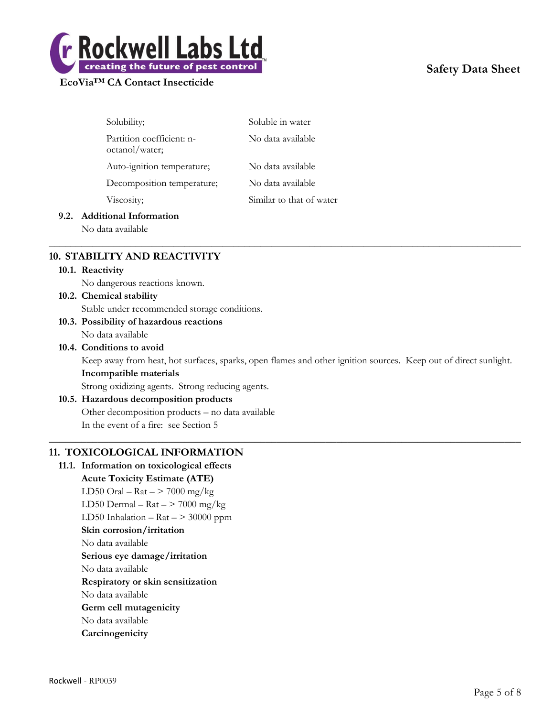

# **Safety Data Sheet**

| Solubility;                                 | Soluble in water         |
|---------------------------------------------|--------------------------|
| Partition coefficient: n-<br>octanol/water; | No data available        |
| Auto-ignition temperature;                  | No data available        |
| Decomposition temperature;                  | No data available        |
| Viscosity;                                  | Similar to that of water |

# **9.2. Additional Information**

No data available

# **10. STABILITY AND REACTIVITY**

#### **10.1. Reactivity**

No dangerous reactions known.

**10.2. Chemical stability** Stable under recommended storage conditions.

#### **10.3. Possibility of hazardous reactions**

No data available

#### **10.4. Conditions to avoid**

Keep away from heat, hot surfaces, sparks, open flames and other ignition sources. Keep out of direct sunlight. **Incompatible materials**

 $\_$  , and the set of the set of the set of the set of the set of the set of the set of the set of the set of the set of the set of the set of the set of the set of the set of the set of the set of the set of the set of th

 $\_$  , and the set of the set of the set of the set of the set of the set of the set of the set of the set of the set of the set of the set of the set of the set of the set of the set of the set of the set of the set of th

Strong oxidizing agents. Strong reducing agents.

# **10.5. Hazardous decomposition products** Other decomposition products – no data available

In the event of a fire: see Section 5

# **11. TOXICOLOGICAL INFORMATION**

#### **11.1. Information on toxicological effects**

**Acute Toxicity Estimate (ATE)** LD50 Oral – Rat –  $>$  7000 mg/kg LD50 Dermal –  $\text{Rat}$  –  $>$  7000 mg/kg LD50 Inhalation –  $\text{Rat}$  – > 30000 ppm **Skin corrosion/irritation** No data available **Serious eye damage/irritation** No data available **Respiratory or skin sensitization** No data available **Germ cell mutagenicity** No data available **Carcinogenicity**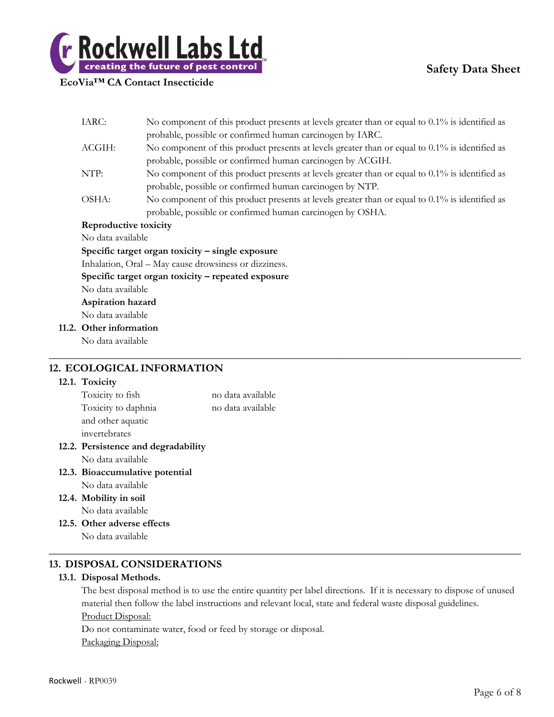

|  | IARC:                                                                                                                                                           | No component of this product presents at levels greater than or equal to $0.1\%$ is identified as |  |  |  |
|--|-----------------------------------------------------------------------------------------------------------------------------------------------------------------|---------------------------------------------------------------------------------------------------|--|--|--|
|  |                                                                                                                                                                 | probable, possible or confirmed human carcinogen by IARC.                                         |  |  |  |
|  | ACGIH:                                                                                                                                                          | No component of this product presents at levels greater than or equal to $0.1\%$ is identified as |  |  |  |
|  |                                                                                                                                                                 | probable, possible or confirmed human carcinogen by ACGIH.                                        |  |  |  |
|  | NTP:                                                                                                                                                            | No component of this product presents at levels greater than or equal to $0.1\%$ is identified as |  |  |  |
|  |                                                                                                                                                                 | probable, possible or confirmed human carcinogen by NTP.                                          |  |  |  |
|  | OSHA:                                                                                                                                                           | No component of this product presents at levels greater than or equal to $0.1\%$ is identified as |  |  |  |
|  |                                                                                                                                                                 | probable, possible or confirmed human carcinogen by OSHA.                                         |  |  |  |
|  | Reproductive toxicity                                                                                                                                           |                                                                                                   |  |  |  |
|  | No data available                                                                                                                                               |                                                                                                   |  |  |  |
|  | Specific target organ toxicity - single exposure<br>Inhalation, Oral - May cause drowsiness or dizziness.<br>Specific target organ toxicity – repeated exposure |                                                                                                   |  |  |  |
|  |                                                                                                                                                                 |                                                                                                   |  |  |  |
|  |                                                                                                                                                                 |                                                                                                   |  |  |  |
|  | No data available                                                                                                                                               |                                                                                                   |  |  |  |
|  | Aspiration hazard                                                                                                                                               |                                                                                                   |  |  |  |
|  | No data available                                                                                                                                               |                                                                                                   |  |  |  |
|  | 11.2. Other information                                                                                                                                         |                                                                                                   |  |  |  |
|  | No data available                                                                                                                                               |                                                                                                   |  |  |  |
|  |                                                                                                                                                                 |                                                                                                   |  |  |  |
|  |                                                                                                                                                                 | $\lambda$ ran agrait bronicimals                                                                  |  |  |  |

# **12. ECOLOGICAL INFORMATION**

# **12.1. Toxicity**

| Toxicity to fish              | no data available |  |
|-------------------------------|-------------------|--|
| Toxicity to daphnia           | no data available |  |
| and other aquatic             |                   |  |
| invertebrates                 |                   |  |
| Persistence and degradability |                   |  |

- **12.2.** No data available
- **12.3. Bioaccumulative potential** No data available
- **12.4. Mobility in soil** No data available
- **12.5. Other adverse effects**

No data available

# **13. DISPOSAL CONSIDERATIONS**

# **13.1. Disposal Methods.**

The best disposal method is to use the entire quantity per label directions. If it is necessary to dispose of unused material then follow the label instructions and relevant local, state and federal waste disposal guidelines. Product Disposal:

 $\_$  , and the set of the set of the set of the set of the set of the set of the set of the set of the set of the set of the set of the set of the set of the set of the set of the set of the set of the set of the set of th

Do not contaminate water, food or feed by storage or disposal. Packaging Disposal: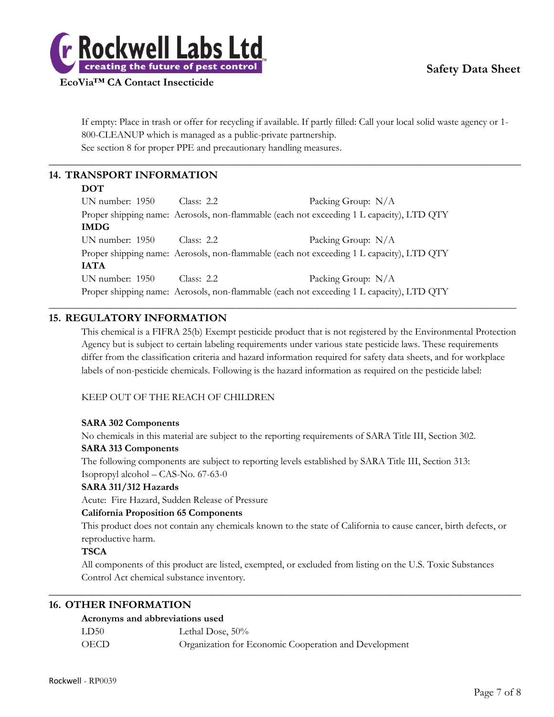

If empty: Place in trash or offer for recycling if available. If partly filled: Call your local solid waste agency or 1- 800-CLEANUP which is managed as a public-private partnership. See section 8 for proper PPE and precautionary handling measures.

 $\_$  , and the set of the set of the set of the set of the set of the set of the set of the set of the set of the set of the set of the set of the set of the set of the set of the set of the set of the set of the set of th

# **14. TRANSPORT INFORMATION**

#### **DOT**

UN number: 1950 Class: 2.2 Packing Group: N/A Proper shipping name: Aerosols, non-flammable (each not exceeding 1 L capacity), LTD QTY **IMDG** UN number: 1950 Class: 2.2 Packing Group: N/A Proper shipping name: Aerosols, non-flammable (each not exceeding 1 L capacity), LTD QTY **IATA** UN number: 1950 Class: 2.2 Packing Group: N/A Proper shipping name: Aerosols, non-flammable (each not exceeding 1 L capacity), LTD QTY

\_\_\_\_\_\_\_\_\_\_\_\_\_\_\_\_\_\_\_\_\_\_\_\_\_\_\_\_\_\_\_\_\_\_\_\_\_\_\_\_\_\_\_\_\_\_\_\_\_\_\_\_\_\_\_\_\_\_\_\_\_\_\_\_\_\_\_\_\_\_\_\_\_\_\_\_\_\_\_\_\_\_\_\_\_\_\_\_\_\_\_\_\_\_

# **15. REGULATORY INFORMATION**

This chemical is a FIFRA 25(b) Exempt pesticide product that is not registered by the Environmental Protection Agency but is subject to certain labeling requirements under various state pesticide laws. These requirements differ from the classification criteria and hazard information required for safety data sheets, and for workplace labels of non-pesticide chemicals. Following is the hazard information as required on the pesticide label:

#### KEEP OUT OF THE REACH OF CHILDREN

#### **SARA 302 Components**

No chemicals in this material are subject to the reporting requirements of SARA Title III, Section 302.

#### **SARA 313 Components**

The following components are subject to reporting levels established by SARA Title III, Section 313: Isopropyl alcohol – CAS-No. 67-63-0

#### **SARA 311/312 Hazards**

Acute: Fire Hazard, Sudden Release of Pressure

#### **California Proposition 65 Components**

This product does not contain any chemicals known to the state of California to cause cancer, birth defects, or reproductive harm.

#### **TSCA**

All components of this product are listed, exempted, or excluded from listing on the U.S. Toxic Substances Control Act chemical substance inventory.

 $\_$  , and the set of the set of the set of the set of the set of the set of the set of the set of the set of the set of the set of the set of the set of the set of the set of the set of the set of the set of the set of th

# **16. OTHER INFORMATION**

#### **Acronyms and abbreviations used**

| LD50 | Lethal Dose, 50%                                      |
|------|-------------------------------------------------------|
| OECD | Organization for Economic Cooperation and Development |